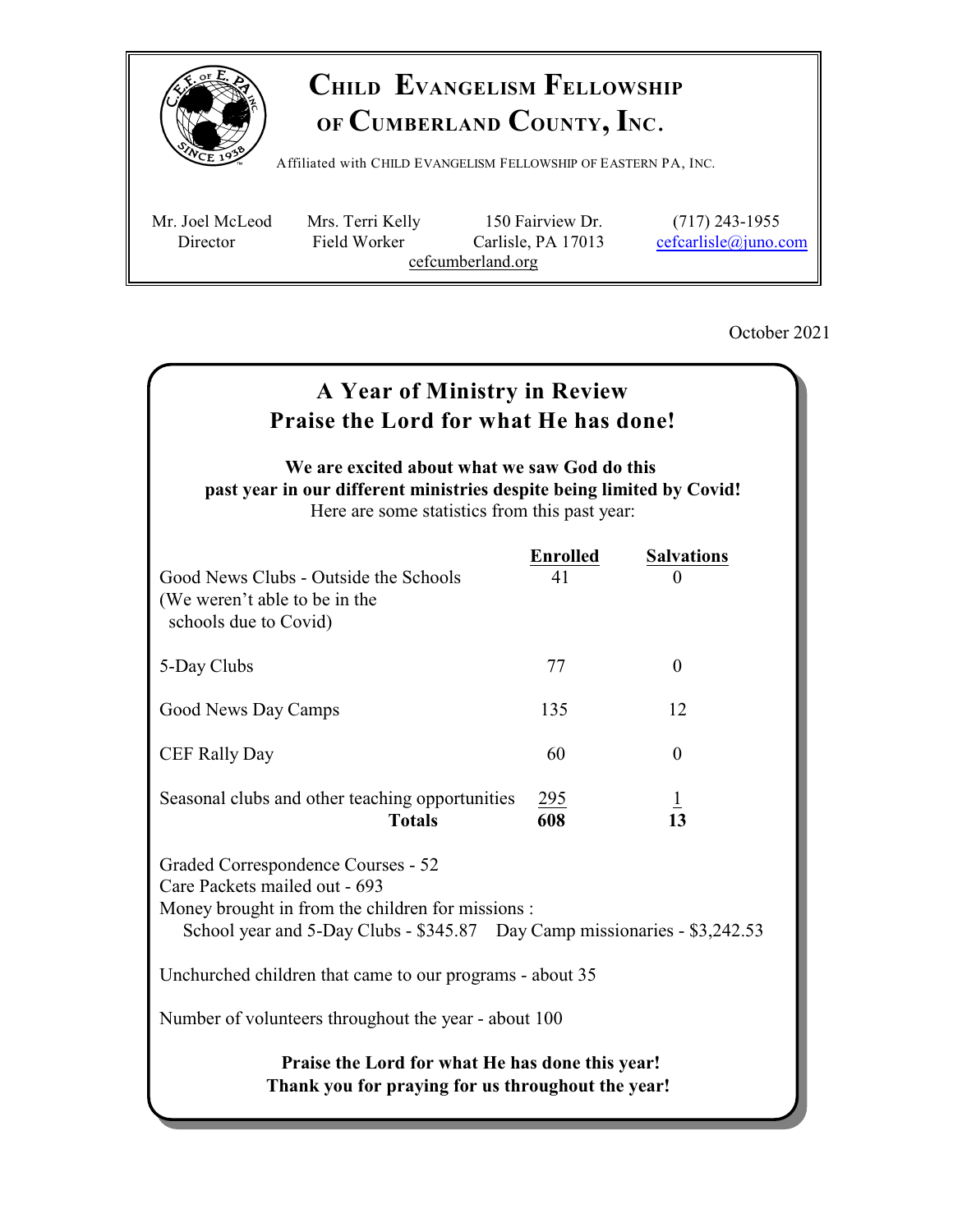

# **CHILD EVANGELISM FELLOWSHIP OF CUMBERLAND COUNTY, INC**.

Affiliated with <sup>C</sup>HILD <sup>E</sup>VANGELISM <sup>F</sup>ELLOWSHIP OF <sup>E</sup>ASTERN PA, <sup>I</sup>NC.

 Mr. Joel McLeod Mrs. Terri Kelly 150 Fairview Dr. (717) 243-1955 Director Field Worker Carlisle, PA 17013 [cefcarlisle@juno.com](mailto:cefcarlisle@juno.com) cefcumberland.org

October 2021

## **A Year of Ministry in Review Praise the Lord for what He has done! We are excited about what we saw God do this past year in our different ministries despite being limited by Covid!** Here are some statistics from this past year: **Enrolled Salvations**  Good News Clubs - Outside the Schools 41 0 (We weren't able to be in the schools due to Covid) 5-Day Clubs 77 0 Good News Day Camps 135 12 CEF Rally Day 60 0 Seasonal clubs and other teaching opportunities  $\frac{295}{608}$   $\frac{1}{13}$  **Totals 608 13**  Graded Correspondence Courses - 52 Care Packets mailed out - 693 Money brought in from the children for missions : School year and 5-Day Clubs - \$345.87 Day Camp missionaries - \$3,242.53 Unchurched children that came to our programs - about 35 Number of volunteers throughout the year - about 100 **Praise the Lord for what He has done this year! Thank you for praying for us throughout the year!**